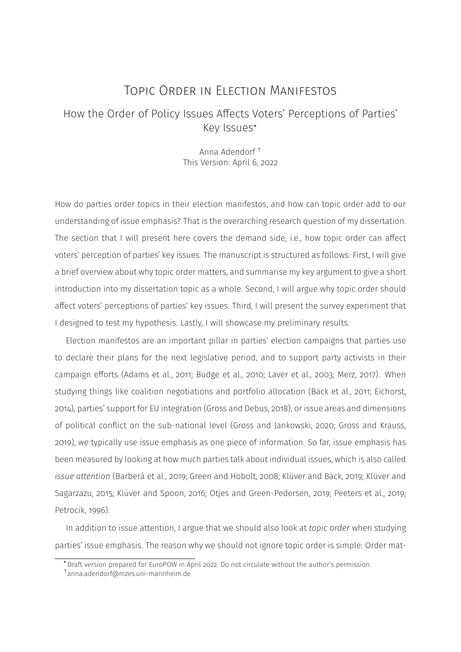# Topic Order in Election Manifestos

## <span id="page-0-0"></span>How the Order of Policy Issues Affects Voters' Perceptions of Parties' Key Issues\*

Anna Adendorf † This Version: April 6, 2022

How do parties order topics in their election manifestos, and how can topic order add to our understanding of issue emphasis? That is the overarching research question of my dissertation. The section that I will present here covers the demand side, i.e., how topic order can affect voters' perception of parties' key issues. The manuscript is structured as follows: First, I will give a brief overview about why topic order matters, and summarise my key argument to give a short introduction into my dissertation topic as a whole. Second, I will argue why topic order should affect voters' perceptions of parties' key issues. Third, I will present the survey experiment that I designed to test my hypothesis. Lastly, I will showcase my preliminary results.

Election manifestos are an important pillar in parties' election campaigns that parties use to declare their plans for the next legislative period, and to support party activists in their campaign efforts [\(Adams et al.,](#page-11-0) [2011;](#page-11-0) [Budge et al.,](#page-11-1) [2010;](#page-11-1) [Laver et al.,](#page-12-0) [2003;](#page-12-0) [Merz,](#page-12-1) [2017\)](#page-12-1). When studying things like coalition negotiations and portfolio allocation [\(Bäck et al.,](#page-11-2) [2011;](#page-11-2) [Eichorst,](#page-11-3) [2014\)](#page-11-3), parties' support for EU integration [\(Gross and Debus,](#page-11-4) [2018\)](#page-11-4), or issue areas and dimensions of political conflict on the sub-national level [\(Gross and Jankowski,](#page-11-5) [2020;](#page-11-5) [Gross and Krauss,](#page-12-2) [2019\)](#page-12-2), we typically use issue emphasis as one piece of information. So far, issue emphasis has been measured by looking at how much parties talk about individual issues, which is also called *issue attention* [\(Barberá et al.,](#page-11-6) [2019;](#page-11-6) [Green and Hobolt,](#page-11-7) [2008;](#page-11-7) [Klüver and Bäck,](#page-12-3) [2019;](#page-12-3) [Klüver and](#page-12-4) [Sagarzazu,](#page-12-4) [2015;](#page-12-4) [Klüver and Spoon,](#page-12-5) [2016;](#page-12-5) [Otjes and Green-Pedersen,](#page-12-6) [2019;](#page-12-6) [Peeters et al.,](#page-12-7) [2019;](#page-12-7) [Petrocik,](#page-12-8) [1996\)](#page-12-8).

In addition to issue attention, I argue that we should also look at *topic order* when studying parties' issue emphasis. The reason why we should not ignore topic order is simple: Order mat-

 $\star$ Draft version prepared for EuroPOW in April 2022. Do not circulate without the author's permission.

<sup>†</sup> anna.adendorf@mzes.uni-mannheim.de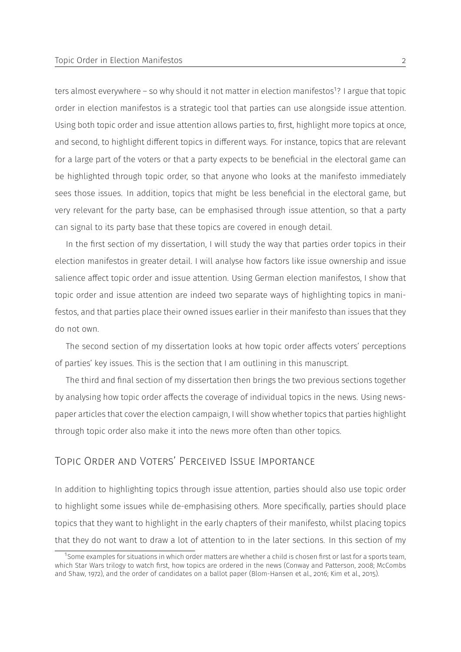ters almost everywhere - so why should it not matter in election manifestos<sup>[1](#page-0-0)</sup>? I argue that topic order in election manifestos is a strategic tool that parties can use alongside issue attention. Using both topic order and issue attention allows parties to, first, highlight more topics at once, and second, to highlight different topics in different ways. For instance, topics that are relevant for a large part of the voters or that a party expects to be beneficial in the electoral game can be highlighted through topic order, so that anyone who looks at the manifesto immediately sees those issues. In addition, topics that might be less beneficial in the electoral game, but very relevant for the party base, can be emphasised through issue attention, so that a party can signal to its party base that these topics are covered in enough detail.

In the first section of my dissertation, I will study the way that parties order topics in their election manifestos in greater detail. I will analyse how factors like issue ownership and issue salience affect topic order and issue attention. Using German election manifestos, I show that topic order and issue attention are indeed two separate ways of highlighting topics in manifestos, and that parties place their owned issues earlier in their manifesto than issues that they do not own.

The second section of my dissertation looks at how topic order affects voters' perceptions of parties' key issues. This is the section that I am outlining in this manuscript.

The third and final section of my dissertation then brings the two previous sections together by analysing how topic order affects the coverage of individual topics in the news. Using newspaper articles that cover the election campaign, I will show whether topics that parties highlight through topic order also make it into the news more often than other topics.

## Topic Order and Voters' Perceived Issue Importance

In addition to highlighting topics through issue attention, parties should also use topic order to highlight some issues while de-emphasising others. More specifically, parties should place topics that they want to highlight in the early chapters of their manifesto, whilst placing topics that they do not want to draw a lot of attention to in the later sections. In this section of my

 $^{\rm 1}$ Some examples for situations in which order matters are whether a child is chosen first or last for a sports team, which Star Wars trilogy to watch first, how topics are ordered in the news [\(Conway and Patterson,](#page-11-8) [2008;](#page-11-8) [McCombs](#page-12-9) [and Shaw,](#page-12-9) [1972\)](#page-12-9), and the order of candidates on a ballot paper [\(Blom-Hansen et al.,](#page-11-9) [2016;](#page-11-9) [Kim et al.,](#page-12-10) [2015\)](#page-12-10).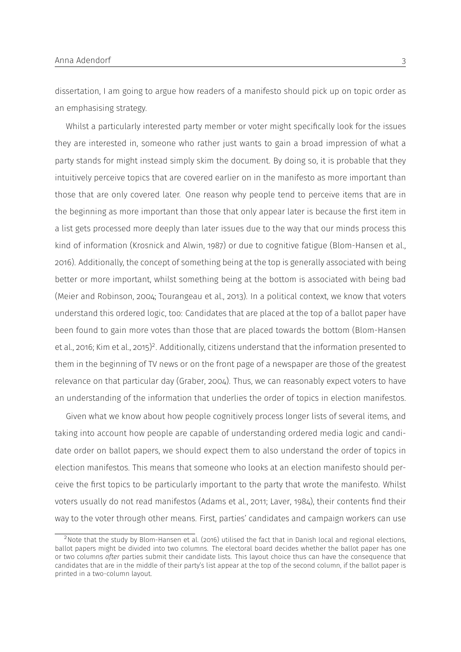dissertation, I am going to argue how readers of a manifesto should pick up on topic order as an emphasising strategy.

Whilst a particularly interested party member or voter might specifically look for the issues they are interested in, someone who rather just wants to gain a broad impression of what a party stands for might instead simply skim the document. By doing so, it is probable that they intuitively perceive topics that are covered earlier on in the manifesto as more important than those that are only covered later. One reason why people tend to perceive items that are in the beginning as more important than those that only appear later is because the first item in a list gets processed more deeply than later issues due to the way that our minds process this kind of information [\(Krosnick and Alwin,](#page-12-11) [1987\)](#page-12-11) or due to cognitive fatigue [\(Blom-Hansen et al.,](#page-11-9) [2016\)](#page-11-9). Additionally, the concept of something being at the top is generally associated with being better or more important, whilst something being at the bottom is associated with being bad [\(Meier and Robinson,](#page-12-12) [2004;](#page-12-12) [Tourangeau et al.,](#page-12-13) [2013\)](#page-12-13). In a political context, we know that voters understand this ordered logic, too: Candidates that are placed at the top of a ballot paper have been found to gain more votes than those that are placed towards the bottom [\(Blom-Hansen](#page-11-9) [et al.,](#page-11-9) [2016;](#page-11-9) [Kim et al.,](#page-12-10) [2015\)](#page-12-10)<sup>[2](#page-0-0)</sup>. Additionally, citizens understand that the information presented to them in the beginning of TV news or on the front page of a newspaper are those of the greatest relevance on that particular day [\(Graber,](#page-11-10) [2004\)](#page-11-10). Thus, we can reasonably expect voters to have an understanding of the information that underlies the order of topics in election manifestos.

Given what we know about how people cognitively process longer lists of several items, and taking into account how people are capable of understanding ordered media logic and candidate order on ballot papers, we should expect them to also understand the order of topics in election manifestos. This means that someone who looks at an election manifesto should perceive the first topics to be particularly important to the party that wrote the manifesto. Whilst voters usually do not read manifestos [\(Adams et al.,](#page-11-0) [2011;](#page-11-0) [Laver,](#page-12-14) [1984\)](#page-12-14), their contents find their way to the voter through other means. First, parties' candidates and campaign workers can use

<sup>&</sup>lt;sup>2</sup>Note that the study by [Blom-Hansen et al.](#page-11-9) [\(2016\)](#page-11-9) utilised the fact that in Danish local and regional elections, ballot papers might be divided into two columns. The electoral board decides whether the ballot paper has one or two columns *after* parties submit their candidate lists. This layout choice thus can have the consequence that candidates that are in the middle of their party's list appear at the top of the second column, if the ballot paper is printed in a two-column layout.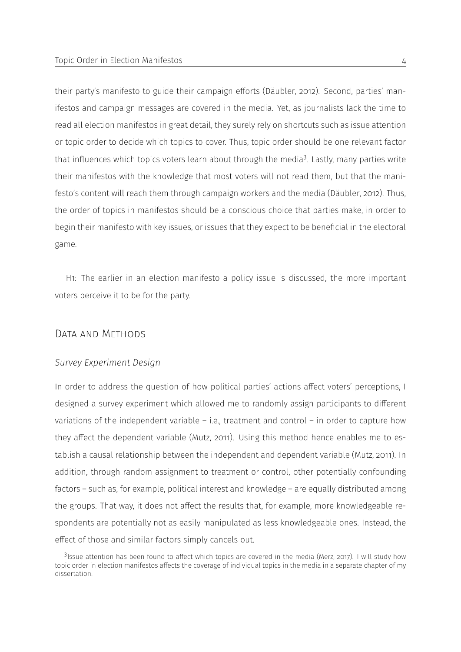their party's manifesto to guide their campaign efforts [\(Däubler,](#page-11-11) [2012\)](#page-11-11). Second, parties' manifestos and campaign messages are covered in the media. Yet, as journalists lack the time to read all election manifestos in great detail, they surely rely on shortcuts such as issue attention or topic order to decide which topics to cover. Thus, topic order should be one relevant factor that influences which topics voters learn about through the media<sup>[3](#page-0-0)</sup>. Lastly, many parties write their manifestos with the knowledge that most voters will not read them, but that the manifesto's content will reach them through campaign workers and the media [\(Däubler,](#page-11-11) [2012\)](#page-11-11). Thus, the order of topics in manifestos should be a conscious choice that parties make, in order to begin their manifesto with key issues, or issues that they expect to be beneficial in the electoral game.

H1: The earlier in an election manifesto a policy issue is discussed, the more important voters perceive it to be for the party.

## Data and Methods

#### *Survey Experiment Design*

In order to address the question of how political parties' actions affect voters' perceptions, I designed a survey experiment which allowed me to randomly assign participants to different variations of the independent variable – i.e., treatment and control – in order to capture how they affect the dependent variable [\(Mutz,](#page-12-15) [2011\)](#page-12-15). Using this method hence enables me to establish a causal relationship between the independent and dependent variable [\(Mutz,](#page-12-15) [2011\)](#page-12-15). In addition, through random assignment to treatment or control, other potentially confounding factors – such as, for example, political interest and knowledge – are equally distributed among the groups. That way, it does not affect the results that, for example, more knowledgeable respondents are potentially not as easily manipulated as less knowledgeable ones. Instead, the effect of those and similar factors simply cancels out.

<sup>&</sup>lt;sup>3</sup>Issue attention has been found to affect which topics are covered in the media [\(Merz,](#page-12-1) [2017\)](#page-12-1). I will study how topic order in election manifestos affects the coverage of individual topics in the media in a separate chapter of my dissertation.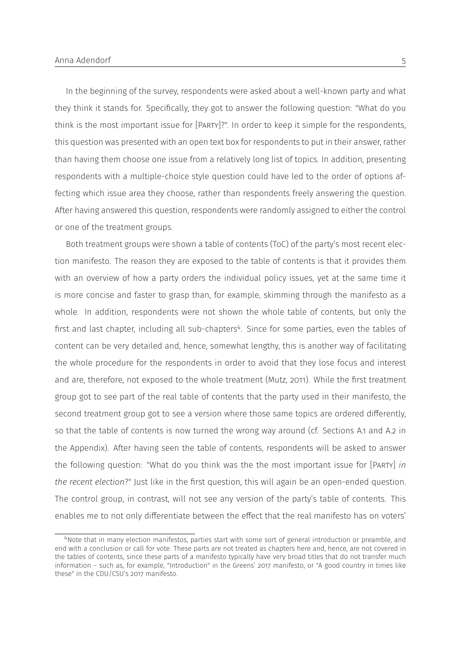In the beginning of the survey, respondents were asked about a well-known party and what they think it stands for. Specifically, they got to answer the following question: "What do you think is the most important issue for [Party]?". In order to keep it simple for the respondents, this question was presented with an open text box for respondents to put in their answer, rather than having them choose one issue from a relatively long list of topics. In addition, presenting respondents with a multiple-choice style question could have led to the order of options affecting which issue area they choose, rather than respondents freely answering the question. After having answered this question, respondents were randomly assigned to either the control or one of the treatment groups.

Both treatment groups were shown a table of contents (ToC) of the party's most recent election manifesto. The reason they are exposed to the table of contents is that it provides them with an overview of how a party orders the individual policy issues, yet at the same time it is more concise and faster to grasp than, for example, skimming through the manifesto as a whole. In addition, respondents were not shown the whole table of contents, but only the first and last chapter, including all sub-chapters<sup>[4](#page-0-0)</sup>. Since for some parties, even the tables of content can be very detailed and, hence, somewhat lengthy, this is another way of facilitating the whole procedure for the respondents in order to avoid that they lose focus and interest and are, therefore, not exposed to the whole treatment [\(Mutz,](#page-12-15) [2011\)](#page-12-15). While the first treatment group got to see part of the real table of contents that the party used in their manifesto, the second treatment group got to see a version where those same topics are ordered differently, so that the table of contents is now turned the wrong way around (cf. Sections [A.1](#page-13-0) and [A.2](#page-15-0) in the Appendix). After having seen the table of contents, respondents will be asked to answer the following question: "What do you think was the the most important issue for [Party] *in the recent election*?" Just like in the first question, this will again be an open-ended question. The control group, in contrast, will not see any version of the party's table of contents. This enables me to not only differentiate between the effect that the real manifesto has on voters'

<sup>4</sup>Note that in many election manifestos, parties start with some sort of general introduction or preamble, and end with a conclusion or call for vote. These parts are not treated as chapters here and, hence, are not covered in the tables of contents, since these parts of a manifesto typically have very broad titles that do not transfer much information – such as, for example, "Introduction" in the Greens' 2017 manifesto, or "A good country in times like these" in the CDU/CSU's 2017 manifesto.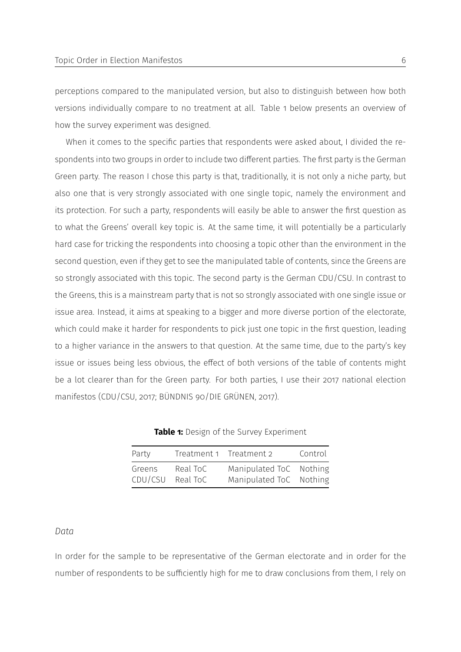perceptions compared to the manipulated version, but also to distinguish between how both versions individually compare to no treatment at all. Table [1](#page-5-0) below presents an overview of how the survey experiment was designed.

When it comes to the specific parties that respondents were asked about, I divided the respondents into two groups in order to include two different parties. The first party is the German Green party. The reason I chose this party is that, traditionally, it is not only a niche party, but also one that is very strongly associated with one single topic, namely the environment and its protection. For such a party, respondents will easily be able to answer the first question as to what the Greens' overall key topic is. At the same time, it will potentially be a particularly hard case for tricking the respondents into choosing a topic other than the environment in the second question, even if they get to see the manipulated table of contents, since the Greens are so strongly associated with this topic. The second party is the German CDU/CSU. In contrast to the Greens, this is a mainstream party that is not so strongly associated with one single issue or issue area. Instead, it aims at speaking to a bigger and more diverse portion of the electorate, which could make it harder for respondents to pick just one topic in the first question, leading to a higher variance in the answers to that question. At the same time, due to the party's key issue or issues being less obvious, the effect of both versions of the table of contents might be a lot clearer than for the Green party. For both parties, I use their 2017 national election manifestos [\(CDU/CSU,](#page-11-12) [2017;](#page-11-12) [BÜNDNIS 90/DIE GRÜNEN,](#page-11-13) [2017\)](#page-11-13).

**Table 1:** Design of the Survey Experiment

<span id="page-5-0"></span>

| Party   |          | Treatment 1 Treatment 2 | Control |
|---------|----------|-------------------------|---------|
| Greens  | Real ToC | Manipulated ToC Nothing |         |
| CDU/CSU | Real ToC | Manipulated ToC Nothing |         |

#### *Data*

In order for the sample to be representative of the German electorate and in order for the number of respondents to be sufficiently high for me to draw conclusions from them, I rely on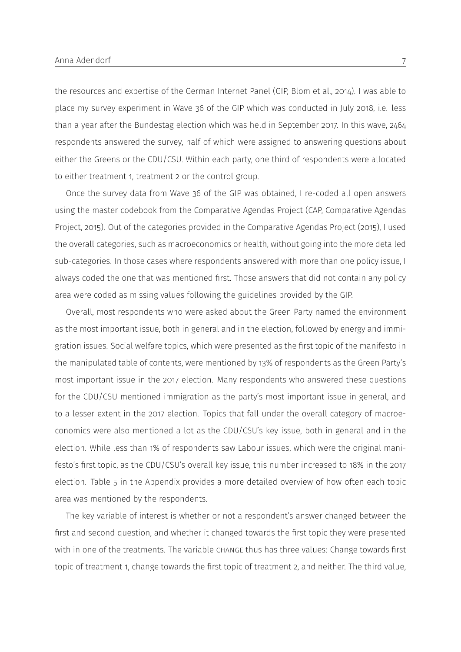#### Anna Adendorf 7

the resources and expertise of the German Internet Panel (GIP, [Blom et al.,](#page-11-14) [2014\)](#page-11-14). I was able to place my survey experiment in Wave 36 of the GIP which was conducted in July 2018, i.e. less than a year after the Bundestag election which was held in September 2017. In this wave, 2464 respondents answered the survey, half of which were assigned to answering questions about either the Greens or the CDU/CSU. Within each party, one third of respondents were allocated to either treatment 1, treatment 2 or the control group.

Once the survey data from Wave 36 of the GIP was obtained, I re-coded all open answers using the master codebook from the Comparative Agendas Project (CAP, [Comparative Agendas](#page-11-15) [Project,](#page-11-15) [2015\)](#page-11-15). Out of the categories provided in the [Comparative Agendas Project](#page-11-15) [\(2015\)](#page-11-15), I used the overall categories, such as macroeconomics or health, without going into the more detailed sub-categories. In those cases where respondents answered with more than one policy issue, I always coded the one that was mentioned first. Those answers that did not contain any policy area were coded as missing values following the guidelines provided by the GIP.

Overall, most respondents who were asked about the Green Party named the environment as the most important issue, both in general and in the election, followed by energy and immigration issues. Social welfare topics, which were presented as the first topic of the manifesto in the manipulated table of contents, were mentioned by 13% of respondents as the Green Party's most important issue in the 2017 election. Many respondents who answered these questions for the CDU/CSU mentioned immigration as the party's most important issue in general, and to a lesser extent in the 2017 election. Topics that fall under the overall category of macroeconomics were also mentioned a lot as the CDU/CSU's key issue, both in general and in the election. While less than 1% of respondents saw Labour issues, which were the original manifesto's first topic, as the CDU/CSU's overall key issue, this number increased to 18% in the 2017 election. Table [5](#page-18-0) in the Appendix provides a more detailed overview of how often each topic area was mentioned by the respondents.

The key variable of interest is whether or not a respondent's answer changed between the first and second question, and whether it changed towards the first topic they were presented with in one of the treatments. The variable change thus has three values: Change towards first topic of treatment 1, change towards the first topic of treatment 2, and neither. The third value,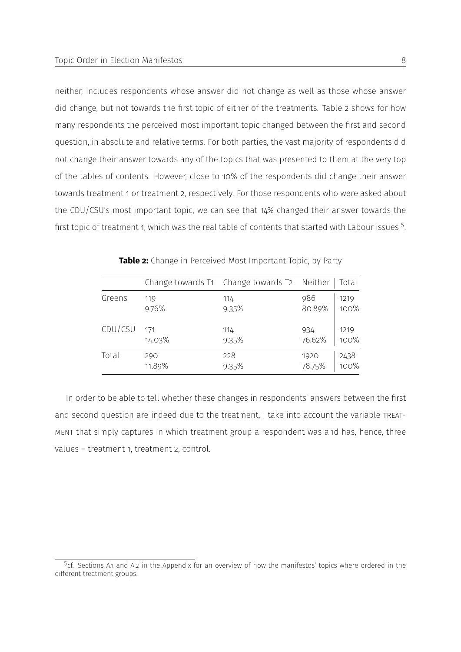neither, includes respondents whose answer did not change as well as those whose answer did change, but not towards the first topic of either of the treatments. Table [2](#page-7-0) shows for how many respondents the perceived most important topic changed between the first and second question, in absolute and relative terms. For both parties, the vast majority of respondents did not change their answer towards any of the topics that was presented to them at the very top of the tables of contents. However, close to 10% of the respondents did change their answer towards treatment 1 or treatment 2, respectively. For those respondents who were asked about the CDU/CSU's most important topic, we can see that 14% changed their answer towards the first topic of treatment 1, which was the real table of contents that started with Labour issues <sup>[5](#page-0-0)</sup>. .

<span id="page-7-0"></span>

|         |        | Change towards T1 Change towards T2 Neither |        | Total |
|---------|--------|---------------------------------------------|--------|-------|
| Greens  | 119    | 114                                         | 986    | 1219  |
|         | 9.76%  | 9.35%                                       | 80.89% | 100%  |
| CDU/CSU | 171    | 114                                         | 934    | 1219  |
|         | 14.03% | 9.35%                                       | 76.62% | 100%  |
| Total   | 290    | 228                                         | 1920   | 2438  |
|         | 11.89% | 9.35%                                       | 78.75% | 100%  |

**Table 2:** Change in Perceived Most Important Topic, by Party

In order to be able to tell whether these changes in respondents' answers between the first and second question are indeed due to the treatment, I take into account the variable treatment that simply captures in which treatment group a respondent was and has, hence, three values - treatment 1, treatment 2, control.

<sup>&</sup>lt;sup>5</sup>cf. Sections [A.1](#page-13-0) and [A.2](#page-15-0) in the Appendix for an overview of how the manifestos' topics where ordered in the different treatment groups.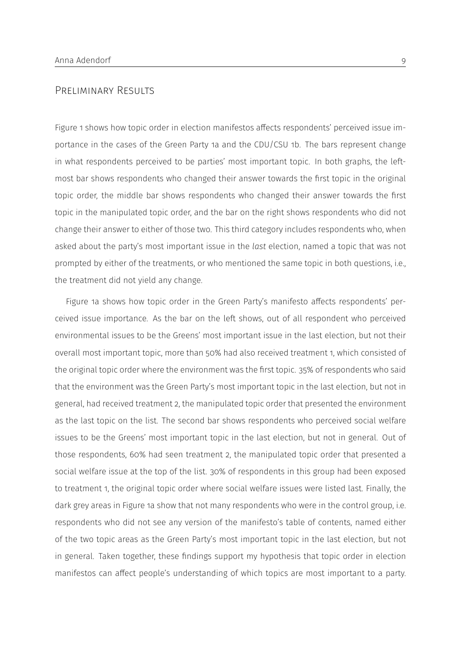## Preliminary Results

Figure [1](#page-9-0) shows how topic order in election manifestos affects respondents' perceived issue importance in the cases of the Green Party [1a](#page-9-0) and the CDU/CSU [1b.](#page-9-0) The bars represent change in what respondents perceived to be parties' most important topic. In both graphs, the leftmost bar shows respondents who changed their answer towards the first topic in the original topic order, the middle bar shows respondents who changed their answer towards the first topic in the manipulated topic order, and the bar on the right shows respondents who did not change their answer to either of those two. This third category includes respondents who, when asked about the party's most important issue in the *last* election, named a topic that was not prompted by either of the treatments, or who mentioned the same topic in both questions, i.e., the treatment did not yield any change.

Figure [1a](#page-9-0) shows how topic order in the Green Party's manifesto affects respondents' perceived issue importance. As the bar on the left shows, out of all respondent who perceived environmental issues to be the Greens' most important issue in the last election, but not their overall most important topic, more than 50% had also received treatment 1, which consisted of the original topic order where the environment was the first topic. 35% of respondents who said that the environment was the Green Party's most important topic in the last election, but not in general, had received treatment 2, the manipulated topic order that presented the environment as the last topic on the list. The second bar shows respondents who perceived social welfare issues to be the Greens' most important topic in the last election, but not in general. Out of those respondents, 60% had seen treatment 2, the manipulated topic order that presented a social welfare issue at the top of the list. 30% of respondents in this group had been exposed to treatment 1, the original topic order where social welfare issues were listed last. Finally, the dark grey areas in Figure [1a](#page-9-0) show that not many respondents who were in the control group, i.e. respondents who did not see any version of the manifesto's table of contents, named either of the two topic areas as the Green Party's most important topic in the last election, but not in general. Taken together, these findings support my hypothesis that topic order in election manifestos can affect people's understanding of which topics are most important to a party.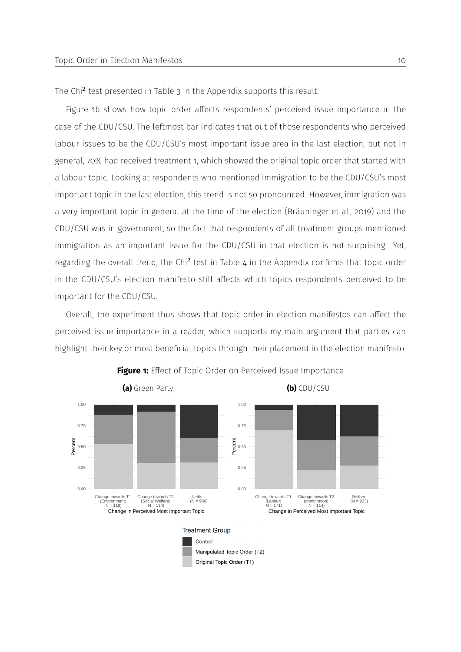The Chi<sup>2</sup> test presented in Table [3](#page-17-0) in the Appendix supports this result.

Figure [1b](#page-9-0) shows how topic order affects respondents' perceived issue importance in the case of the CDU/CSU. The leftmost bar indicates that out of those respondents who perceived labour issues to be the CDU/CSU's most important issue area in the last election, but not in general, 70% had received treatment 1, which showed the original topic order that started with a labour topic. Looking at respondents who mentioned immigration to be the CDU/CSU's most important topic in the last election, this trend is not so pronounced. However, immigration was a very important topic in general at the time of the election [\(Bräuninger et al.,](#page-11-16) [2019\)](#page-11-16) and the CDU/CSU was in government, so the fact that respondents of all treatment groups mentioned immigration as an important issue for the CDU/CSU in that election is not surprising. Yet, regarding the overall trend, the Chi<sup>2</sup> test in Table [4](#page-17-1) in the Appendix confirms that topic order in the CDU/CSU's election manifesto still affects which topics respondents perceived to be important for the CDU/CSU.

Overall, the experiment thus shows that topic order in election manifestos can affect the perceived issue importance in a reader, which supports my main argument that parties can highlight their key or most beneficial topics through their placement in the election manifesto.

<span id="page-9-0"></span>

#### **Figure 1:** Effect of Topic Order on Perceived Issue Importance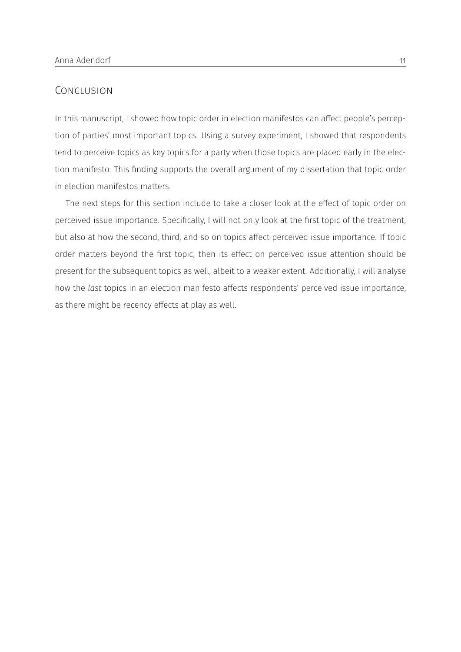## Conclusion

In this manuscript, I showed how topic order in election manifestos can affect people's perception of parties' most important topics. Using a survey experiment, I showed that respondents tend to perceive topics as key topics for a party when those topics are placed early in the election manifesto. This finding supports the overall argument of my dissertation that topic order in election manifestos matters.

The next steps for this section include to take a closer look at the effect of topic order on perceived issue importance. Specifically, I will not only look at the first topic of the treatment, but also at how the second, third, and so on topics affect perceived issue importance. If topic order matters beyond the first topic, then its effect on perceived issue attention should be present for the subsequent topics as well, albeit to a weaker extent. Additionally, I will analyse how the *last* topics in an election manifesto affects respondents' perceived issue importance, as there might be recency effects at play as well.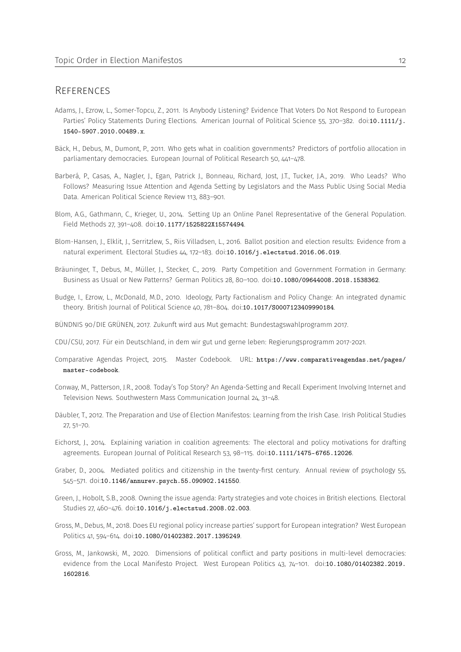## **REFERENCES**

- <span id="page-11-0"></span>Adams, J., Ezrow, L., Somer-Topcu, Z., 2011. Is Anybody Listening? Evidence That Voters Do Not Respond to European Parties' Policy Statements During Elections. American Journal of Political Science 55, 370-382. doi:[10.1111/j.](http://dx.doi.org/10.1111/j.1540-5907.2010.00489.x) [1540-5907.2010.00489.x](http://dx.doi.org/10.1111/j.1540-5907.2010.00489.x).
- <span id="page-11-2"></span>Bäck, H., Debus, M., Dumont, P., 2011. Who gets what in coalition governments? Predictors of portfolio allocation in parliamentary democracies. European Journal of Political Research 50, 441–478.
- <span id="page-11-6"></span>Barberá, P., Casas, A., Nagler, J., Egan, Patrick J., Bonneau, Richard, Jost, J.T., Tucker, J.A., 2019. Who Leads? Who Follows? Measuring Issue Attention and Agenda Setting by Legislators and the Mass Public Using Social Media Data. American Political Science Review 113, 883–901.
- <span id="page-11-14"></span>Blom, A.G., Gathmann, C., Krieger, U., 2014. Setting Up an Online Panel Representative of the General Population. Field Methods 27, 391–408. doi:[10.1177/1525822X15574494](http://dx.doi.org/10.1177/1525822X15574494).
- <span id="page-11-9"></span>Blom-Hansen, J., Elklit, J., Serritzlew, S., Riis Villadsen, L., 2016. Ballot position and election results: Evidence from a natural experiment. Electoral Studies 44, 172–183. doi:[10.1016/j.electstud.2016.06.019](http://dx.doi.org/10.1016/j.electstud.2016.06.019).
- <span id="page-11-16"></span>Bräuninger, T., Debus, M., Müller, J., Stecker, C., 2019. Party Competition and Government Formation in Germany: Business as Usual or New Patterns? German Politics 28, 80–100. doi:[10.1080/09644008.2018.1538362](http://dx.doi.org/10.1080/09644008.2018.1538362).
- <span id="page-11-1"></span>Budge, I., Ezrow, L., McDonald, M.D., 2010. Ideology, Party Factionalism and Policy Change: An integrated dynamic theory. British Journal of Political Science 40, 781–804. doi:[10.1017/S0007123409990184](http://dx.doi.org/10.1017/S0007123409990184).
- <span id="page-11-13"></span>BÜNDNIS 90/DIE GRÜNEN, 2017. Zukunft wird aus Mut gemacht: Bundestagswahlprogramm 2017.
- <span id="page-11-12"></span>CDU/CSU, 2017. Für ein Deutschland, in dem wir gut und gerne leben: Regierungsprogramm 2017-2021.
- <span id="page-11-15"></span>Comparative Agendas Project, 2015. Master Codebook. URL: [https://www.comparativeagendas.net/pages/](https://www.comparativeagendas.net/pages/master-codebook) [master-codebook](https://www.comparativeagendas.net/pages/master-codebook).
- <span id="page-11-8"></span>Conway, M., Patterson, J.R., 2008. Today's Top Story? An Agenda-Setting and Recall Experiment Involving Internet and Television News. Southwestern Mass Communication Journal 24, 31–48.
- <span id="page-11-11"></span>Däubler, T., 2012. The Preparation and Use of Election Manifestos: Learning from the Irish Case. Irish Political Studies 27, 51–70.
- <span id="page-11-3"></span>Eichorst, J., 2014. Explaining variation in coalition agreements: The electoral and policy motivations for drafting agreements. European Journal of Political Research 53, 98–115. doi:[10.1111/1475-6765.12026](http://dx.doi.org/10.1111/1475-6765.12026).
- <span id="page-11-10"></span>Graber, D., 2004. Mediated politics and citizenship in the twenty-first century. Annual review of psychology 55, 545–571. doi:[10.1146/annurev.psych.55.090902.141550](http://dx.doi.org/10.1146/annurev.psych.55.090902.141550).
- <span id="page-11-7"></span>Green, J., Hobolt, S.B., 2008. Owning the issue agenda: Party strategies and vote choices in British elections. Electoral Studies 27, 460–476. doi:[10.1016/j.electstud.2008.02.003](http://dx.doi.org/10.1016/j.electstud.2008.02.003).
- <span id="page-11-4"></span>Gross, M., Debus, M., 2018. Does EU regional policy increase parties' support for European integration? West European Politics 41, 594–614. doi:[10.1080/01402382.2017.1395249](http://dx.doi.org/10.1080/01402382.2017.1395249).
- <span id="page-11-5"></span>Gross, M., Jankowski, M., 2020. Dimensions of political conflict and party positions in multi-level democracies: evidence from the Local Manifesto Project. West European Politics 43, 74-101. doi:[10.1080/01402382.2019.](http://dx.doi.org/10.1080/01402382.2019.1602816) [1602816](http://dx.doi.org/10.1080/01402382.2019.1602816).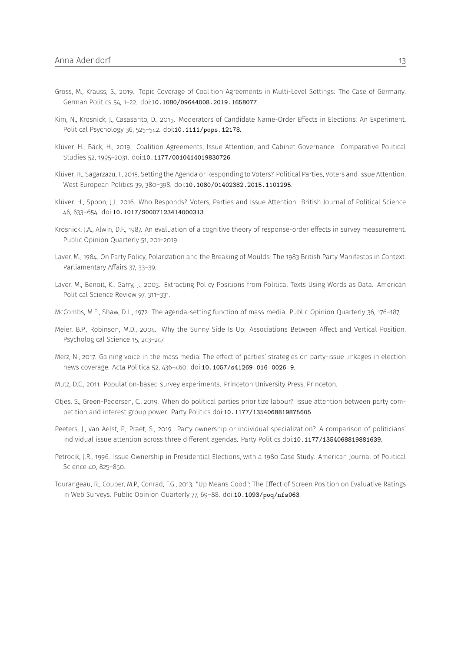- <span id="page-12-2"></span>Gross, M., Krauss, S., 2019. Topic Coverage of Coalition Agreements in Multi-Level Settings: The Case of Germany. German Politics 54, 1–22. doi:[10.1080/09644008.2019.1658077](http://dx.doi.org/10.1080/09644008.2019.1658077).
- <span id="page-12-10"></span>Kim, N., Krosnick, J., Casasanto, D., 2015. Moderators of Candidate Name-Order Effects in Elections: An Experiment. Political Psychology 36, 525–542. doi:[10.1111/pops.12178](http://dx.doi.org/10.1111/pops.12178).
- <span id="page-12-3"></span>Klüver, H., Bäck, H., 2019. Coalition Agreements, Issue Attention, and Cabinet Governance. Comparative Political Studies 52, 1995–2031. doi:[10.1177/0010414019830726](http://dx.doi.org/10.1177/0010414019830726).
- <span id="page-12-4"></span>Klüver, H., Sagarzazu, I., 2015. Setting the Agenda or Responding to Voters? Political Parties, Voters and Issue Attention. West European Politics 39, 380–398. doi:[10.1080/01402382.2015.1101295](http://dx.doi.org/10.1080/01402382.2015.1101295).
- <span id="page-12-5"></span>Klüver, H., Spoon, J.J., 2016. Who Responds? Voters, Parties and Issue Attention. British Journal of Political Science 46, 633–654. doi:[10.1017/S0007123414000313](http://dx.doi.org/10.1017/S0007123414000313).
- <span id="page-12-11"></span>Krosnick, J.A., Alwin, D.F., 1987. An evaluation of a cognitive theory of response-order effects in survey measurement. Public Opinion Quarterly 51, 201–2019.
- <span id="page-12-14"></span>Laver, M., 1984. On Party Policy, Polarization and the Breaking of Moulds: The 1983 British Party Manifestos in Context. Parliamentary Affairs 37, 33–39.
- <span id="page-12-0"></span>Laver, M., Benoit, K., Garry, J., 2003. Extracting Policy Positions from Political Texts Using Words as Data. American Political Science Review 97, 311–331.
- <span id="page-12-9"></span>McCombs, M.E., Shaw, D.L., 1972. The agenda-setting function of mass media. Public Opinion Quarterly 36, 176–187.
- <span id="page-12-12"></span>Meier, B.P., Robinson, M.D., 2004. Why the Sunny Side Is Up: Associations Between Affect and Vertical Position. Psychological Science 15, 243–247.
- <span id="page-12-1"></span>Merz, N., 2017. Gaining voice in the mass media: The effect of parties' strategies on party-issue linkages in election news coverage. Acta Politica 52, 436–460. doi:[10.1057/s41269-016-0026-9](http://dx.doi.org/10.1057/s41269-016-0026-9).
- <span id="page-12-15"></span>Mutz, D.C., 2011. Population-based survey experiments. Princeton University Press, Princeton.
- <span id="page-12-6"></span>Otjes, S., Green-Pedersen, C., 2019. When do political parties prioritize labour? Issue attention between party competition and interest group power. Party Politics doi:[10.1177/1354068819875605](http://dx.doi.org/10.1177/1354068819875605).
- <span id="page-12-7"></span>Peeters, J., van Aelst, P., Praet, S., 2019. Party ownership or individual specialization? A comparison of politicians' individual issue attention across three different agendas. Party Politics doi:[10.1177/1354068819881639](http://dx.doi.org/10.1177/1354068819881639).
- <span id="page-12-8"></span>Petrocik, J.R., 1996. Issue Ownership in Presidential Elections, with a 1980 Case Study. American Journal of Political Science 40, 825–850.
- <span id="page-12-13"></span>Tourangeau, R., Couper, M.P., Conrad, F.G., 2013. "Up Means Good": The Effect of Screen Position on Evaluative Ratings in Web Surveys. Public Opinion Quarterly 77, 69-88. doi:[10.1093/poq/nfs063](http://dx.doi.org/10.1093/poq/nfs063).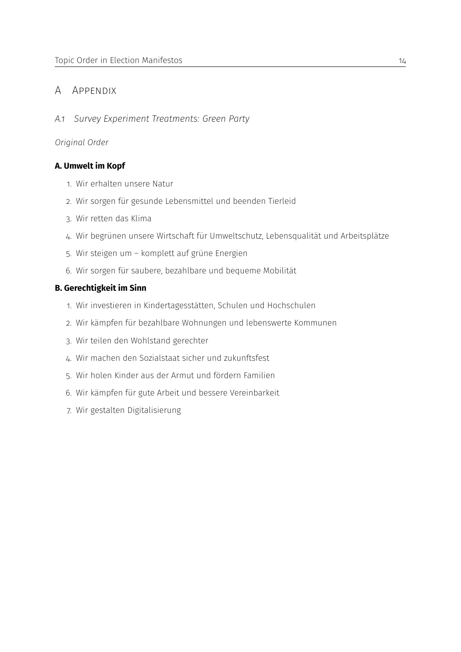## A Appendix

<span id="page-13-0"></span>*A.1 Survey Experiment Treatments: Green Party*

## *Original Order*

## **A. Umwelt im Kopf**

- 1. Wir erhalten unsere Natur
- 2. Wir sorgen für gesunde Lebensmittel und beenden Tierleid
- 3. Wir retten das Klima
- 4. Wir begrünen unsere Wirtschaft für Umweltschutz, Lebensqualität und Arbeitsplätze
- 5. Wir steigen um komplett auf grüne Energien
- 6. Wir sorgen für saubere, bezahlbare und bequeme Mobilität

## **B. Gerechtigkeit im Sinn**

- 1. Wir investieren in Kindertagesstätten, Schulen und Hochschulen
- 2. Wir kämpfen für bezahlbare Wohnungen und lebenswerte Kommunen
- 3. Wir teilen den Wohlstand gerechter
- 4. Wir machen den Sozialstaat sicher und zukunftsfest
- 5. Wir holen Kinder aus der Armut und fördern Familien
- 6. Wir kämpfen für gute Arbeit und bessere Vereinbarkeit
- 7. Wir gestalten Digitalisierung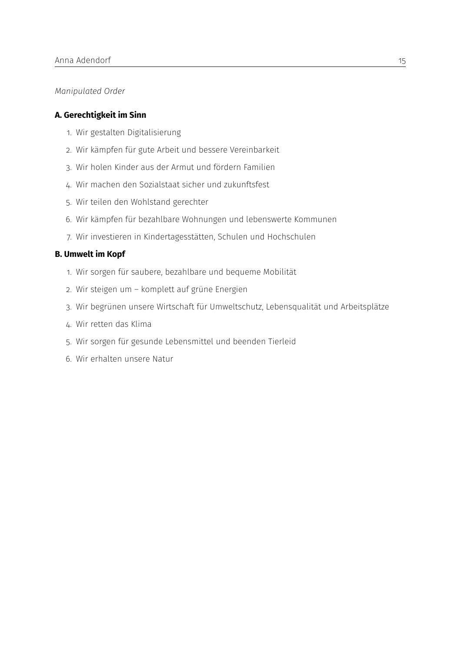#### *Manipulated Order*

#### **A. Gerechtigkeit im Sinn**

- 1. Wir gestalten Digitalisierung
- 2. Wir kämpfen für gute Arbeit und bessere Vereinbarkeit
- 3. Wir holen Kinder aus der Armut und fördern Familien
- 4. Wir machen den Sozialstaat sicher und zukunftsfest
- 5. Wir teilen den Wohlstand gerechter
- 6. Wir kämpfen für bezahlbare Wohnungen und lebenswerte Kommunen
- 7. Wir investieren in Kindertagesstätten, Schulen und Hochschulen

#### **B. Umwelt im Kopf**

- 1. Wir sorgen für saubere, bezahlbare und bequeme Mobilität
- 2. Wir steigen um komplett auf grüne Energien
- 3. Wir begrünen unsere Wirtschaft für Umweltschutz, Lebensqualität und Arbeitsplätze
- 4. Wir retten das Klima
- 5. Wir sorgen für gesunde Lebensmittel und beenden Tierleid
- 6. Wir erhalten unsere Natur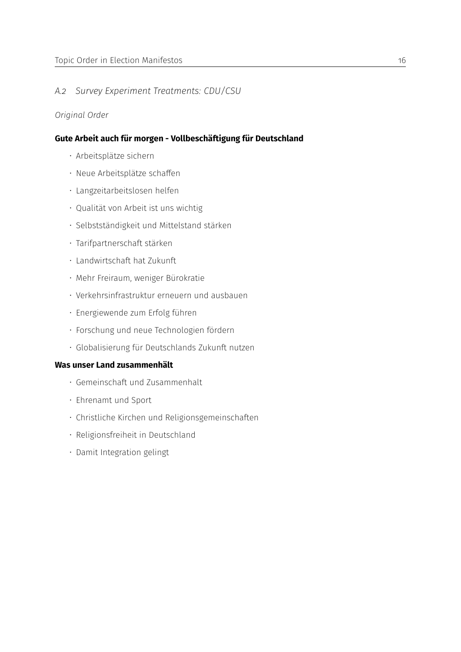## <span id="page-15-0"></span>*A.2 Survey Experiment Treatments: CDU/CSU*

## *Original Order*

## **Gute Arbeit auch für morgen - Vollbeschäftigung für Deutschland**

- Arbeitsplätze sichern
- Neue Arbeitsplätze schaffen
- Langzeitarbeitslosen helfen
- Qualität von Arbeit ist uns wichtig
- Selbstständigkeit und Mittelstand stärken
- Tarifpartnerschaft stärken
- Landwirtschaft hat Zukunft
- Mehr Freiraum, weniger Bürokratie
- Verkehrsinfrastruktur erneuern und ausbauen
- Energiewende zum Erfolg führen
- Forschung und neue Technologien fördern
- Globalisierung für Deutschlands Zukunft nutzen

#### **Was unser Land zusammenhält**

- Gemeinschaft und Zusammenhalt
- Ehrenamt und Sport
- Christliche Kirchen und Religionsgemeinschaften
- Religionsfreiheit in Deutschland
- Damit Integration gelingt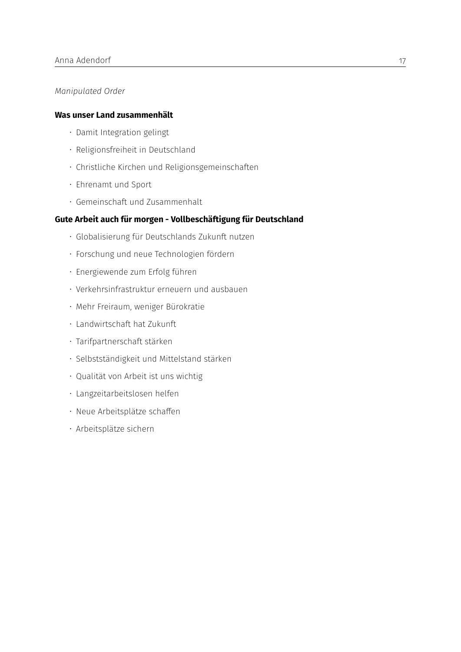#### *Manipulated Order*

#### **Was unser Land zusammenhält**

- Damit Integration gelingt
- Religionsfreiheit in Deutschland
- Christliche Kirchen und Religionsgemeinschaften
- Ehrenamt und Sport
- Gemeinschaft und Zusammenhalt

#### **Gute Arbeit auch für morgen - Vollbeschäftigung für Deutschland**

- Globalisierung für Deutschlands Zukunft nutzen
- Forschung und neue Technologien fördern
- Energiewende zum Erfolg führen
- Verkehrsinfrastruktur erneuern und ausbauen
- Mehr Freiraum, weniger Bürokratie
- Landwirtschaft hat Zukunft
- Tarifpartnerschaft stärken
- Selbstständigkeit und Mittelstand stärken
- Qualität von Arbeit ist uns wichtig
- Langzeitarbeitslosen helfen
- Neue Arbeitsplätze schaffen
- Arbeitsplätze sichern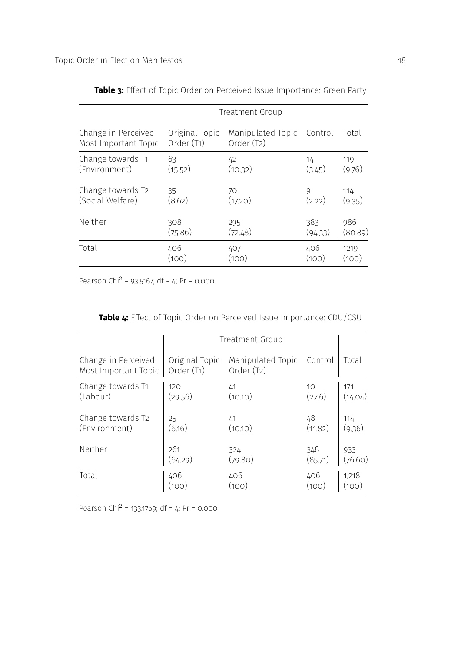<span id="page-17-0"></span>

|                                             | <b>Treatment Group</b>       |                                    |              |               |
|---------------------------------------------|------------------------------|------------------------------------|--------------|---------------|
| Change in Perceived<br>Most Important Topic | Original Topic<br>Order (T1) | Manipulated Topic<br>Order $(T_2)$ | Control      | Total         |
| Change towards T1                           | 63                           | 42                                 | 14           | 119           |
| (Environment)                               | (15.52)                      | (10.32)                            | (3.45)       | (9.76)        |
| Change towards T2                           | 35                           | 70                                 | $\mathsf{Q}$ | 114           |
| (Social Welfare)                            | (8.62)                       | (17.20)                            | (2.22)       | (9.35)        |
| Neither                                     | 308                          | 295                                | 383          | 986           |
|                                             | (75.86)                      | (72.48)                            | (94.33)      | (80.89)       |
| Total                                       | 406                          | 407<br>(100)                       | 406<br>(100) | 1219<br>(100) |

**Table 3:** Effect of Topic Order on Perceived Issue Importance: Green Party

Pearson Chi<sup>2</sup> = 93.5167; df = 4; Pr = 0.000

<span id="page-17-1"></span>

|                                             | Treatment Group              |                                              |              |                |
|---------------------------------------------|------------------------------|----------------------------------------------|--------------|----------------|
| Change in Perceived<br>Most Important Topic | Original Topic<br>Order (T1) | Manipulated Topic<br>Order (T <sub>2</sub> ) | Control      | Total          |
| Change towards T1                           | 120                          | 41                                           | 10           | 171            |
| (Labour)                                    | (29.56)                      | (10.10)                                      | (2.46)       | (14.04)        |
| Change towards T2                           | 25                           | 41                                           | 48           | 114            |
| (Environment)                               | (6.16)                       | (10.10)                                      | (11.82)      | (9.36)         |
| Neither                                     | 261                          | 324                                          | 348          | 933            |
|                                             | (64.29)                      | (79.80)                                      | (85.71)      | (76.60)        |
| Total                                       | 406                          | 406<br>(100)                                 | 406<br>(100) | 1,218<br>(100) |

| Table 4: Effect of Topic Order on Perceived Issue Importance: CDU/CSU |  |  |  |  |
|-----------------------------------------------------------------------|--|--|--|--|
|                                                                       |  |  |  |  |

Pearson Chi<sup>2</sup> = 133.1769; df = 4; Pr = 0.000